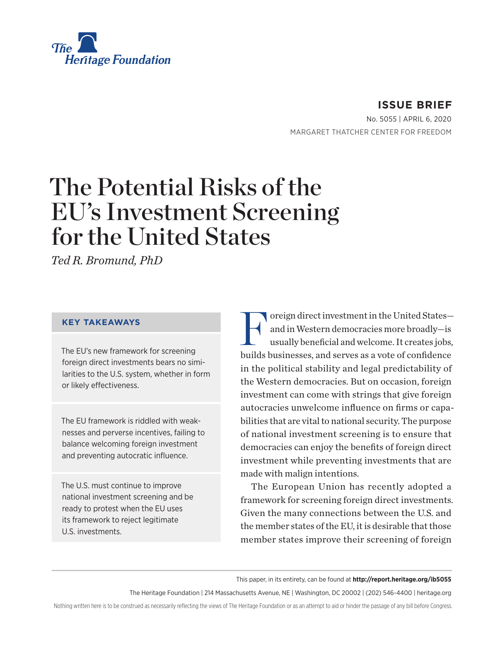

**ISSUE BRIEF** No. 5055 | April 6, 2020 MARGARET THATCHER CENTER FOR FREEDOM

# The Potential Risks of the EU's Investment Screening for the United States

*Ted R. Bromund, PhD*

#### **KEY TAKEAWAYS**

The EU's new framework for screening foreign direct investments bears no similarities to the U.S. system, whether in form or likely effectiveness.

The EU framework is riddled with weaknesses and perverse incentives, failing to balance welcoming foreign investment and preventing autocratic influence.

The U.S. must continue to improve national investment screening and be ready to protest when the EU uses its framework to reject legitimate U.S. investments.

Foreign direct investment in the United States—<br>and in Western democracies more broadly—is<br>usually beneficial and welcome. It creates jobs, and in Western democracies more broadly—is usually beneficial and welcome. It creates jobs, builds businesses, and serves as a vote of confidence in the political stability and legal predictability of the Western democracies. But on occasion, foreign investment can come with strings that give foreign autocracies unwelcome influence on firms or capabilities that are vital to national security. The purpose of national investment screening is to ensure that democracies can enjoy the benefits of foreign direct investment while preventing investments that are made with malign intentions.

The European Union has recently adopted a framework for screening foreign direct investments. Given the many connections between the U.S. and the member states of the EU, it is desirable that those member states improve their screening of foreign

This paper, in its entirety, can be found at **http://report.heritage.org/ib5055**

The Heritage Foundation | 214 Massachusetts Avenue, NE | Washington, DC 20002 | (202) 546-4400 | heritage.org

Nothing written here is to be construed as necessarily reflecting the views of The Heritage Foundation or as an attempt to aid or hinder the passage of any bill before Congress.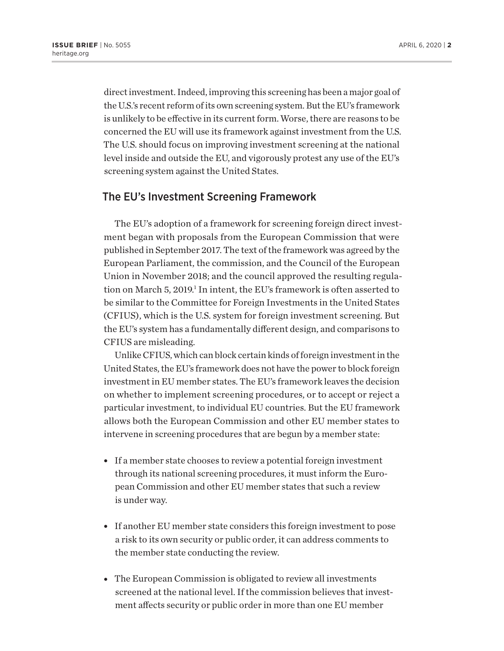direct investment. Indeed, improving this screening has been a major goal of the U.S.'s recent reform of its own screening system. But the EU's framework is unlikely to be effective in its current form. Worse, there are reasons to be concerned the EU will use its framework against investment from the U.S. The U.S. should focus on improving investment screening at the national level inside and outside the EU, and vigorously protest any use of the EU's screening system against the United States.

#### The EU's Investment Screening Framework

The EU's adoption of a framework for screening foreign direct investment began with proposals from the European Commission that were published in September 2017. The text of the framework was agreed by the European Parliament, the commission, and the Council of the European Union in November 2018; and the council approved the resulting regulation on March 5, 2019.<sup>1</sup> In intent, the EU's framework is often asserted to be similar to the Committee for Foreign Investments in the United States (CFIUS), which is the U.S. system for foreign investment screening. But the EU's system has a fundamentally different design, and comparisons to CFIUS are misleading.

Unlike CFIUS, which can block certain kinds of foreign investment in the United States, the EU's framework does not have the power to block foreign investment in EU member states. The EU's framework leaves the decision on whether to implement screening procedures, or to accept or reject a particular investment, to individual EU countries. But the EU framework allows both the European Commission and other EU member states to intervene in screening procedures that are begun by a member state:

- If a member state chooses to review a potential foreign investment through its national screening procedures, it must inform the European Commission and other EU member states that such a review is under way.
- If another EU member state considers this foreign investment to pose a risk to its own security or public order, it can address comments to the member state conducting the review.
- The European Commission is obligated to review all investments screened at the national level. If the commission believes that investment affects security or public order in more than one EU member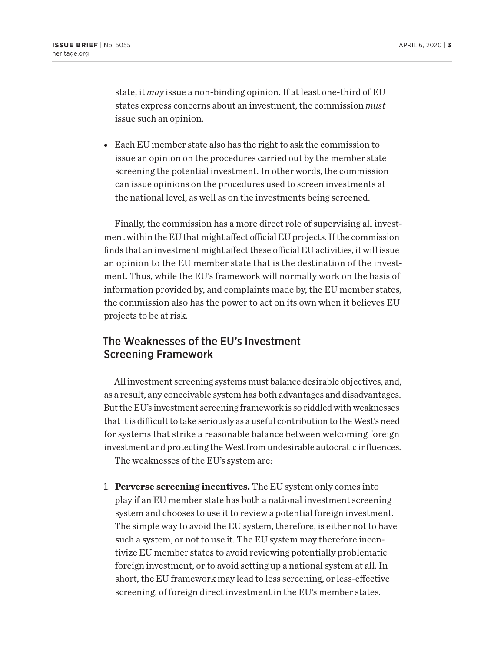state, it *may* issue a non-binding opinion. If at least one-third of EU states express concerns about an investment, the commission *must* issue such an opinion.

• Each EU member state also has the right to ask the commission to issue an opinion on the procedures carried out by the member state screening the potential investment. In other words, the commission can issue opinions on the procedures used to screen investments at the national level, as well as on the investments being screened.

Finally, the commission has a more direct role of supervising all investment within the EU that might affect official EU projects. If the commission finds that an investment might affect these official EU activities, it will issue an opinion to the EU member state that is the destination of the investment. Thus, while the EU's framework will normally work on the basis of information provided by, and complaints made by, the EU member states, the commission also has the power to act on its own when it believes EU projects to be at risk.

#### The Weaknesses of the EU's Investment Screening Framework

All investment screening systems must balance desirable objectives, and, as a result, any conceivable system has both advantages and disadvantages. But the EU's investment screening framework is so riddled with weaknesses that it is difficult to take seriously as a useful contribution to the West's need for systems that strike a reasonable balance between welcoming foreign investment and protecting the West from undesirable autocratic influences.

The weaknesses of the EU's system are:

1. **Perverse screening incentives.** The EU system only comes into play if an EU member state has both a national investment screening system and chooses to use it to review a potential foreign investment. The simple way to avoid the EU system, therefore, is either not to have such a system, or not to use it. The EU system may therefore incentivize EU member states to avoid reviewing potentially problematic foreign investment, or to avoid setting up a national system at all. In short, the EU framework may lead to less screening, or less-effective screening, of foreign direct investment in the EU's member states.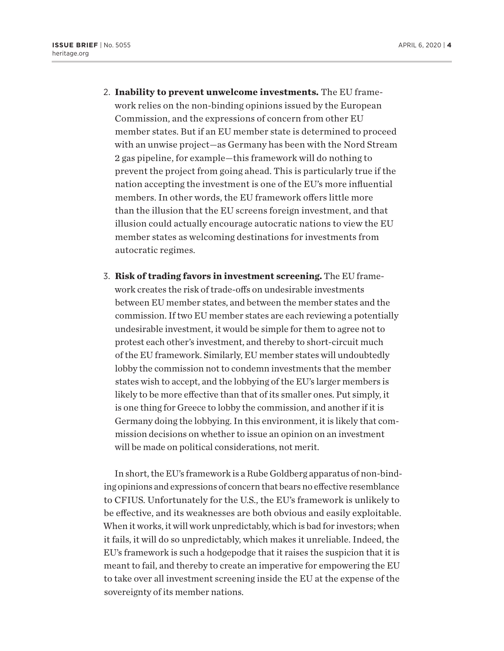- 2. **Inability to prevent unwelcome investments.** The EU framework relies on the non-binding opinions issued by the European Commission, and the expressions of concern from other EU member states. But if an EU member state is determined to proceed with an unwise project—as Germany has been with the Nord Stream 2 gas pipeline, for example—this framework will do nothing to prevent the project from going ahead. This is particularly true if the nation accepting the investment is one of the EU's more influential members. In other words, the EU framework offers little more than the illusion that the EU screens foreign investment, and that illusion could actually encourage autocratic nations to view the EU member states as welcoming destinations for investments from autocratic regimes.
- 3. **Risk of trading favors in investment screening.** The EU framework creates the risk of trade-offs on undesirable investments between EU member states, and between the member states and the commission. If two EU member states are each reviewing a potentially undesirable investment, it would be simple for them to agree not to protest each other's investment, and thereby to short-circuit much of the EU framework. Similarly, EU member states will undoubtedly lobby the commission not to condemn investments that the member states wish to accept, and the lobbying of the EU's larger members is likely to be more effective than that of its smaller ones. Put simply, it is one thing for Greece to lobby the commission, and another if it is Germany doing the lobbying. In this environment, it is likely that commission decisions on whether to issue an opinion on an investment will be made on political considerations, not merit.

In short, the EU's framework is a Rube Goldberg apparatus of non-binding opinions and expressions of concern that bears no effective resemblance to CFIUS. Unfortunately for the U.S., the EU's framework is unlikely to be effective, and its weaknesses are both obvious and easily exploitable. When it works, it will work unpredictably, which is bad for investors; when it fails, it will do so unpredictably, which makes it unreliable. Indeed, the EU's framework is such a hodgepodge that it raises the suspicion that it is meant to fail, and thereby to create an imperative for empowering the EU to take over all investment screening inside the EU at the expense of the sovereignty of its member nations.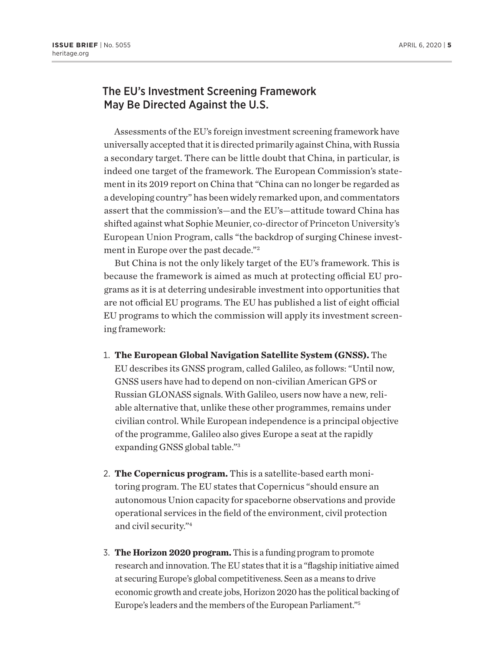### The EU's Investment Screening Framework May Be Directed Against the U.S.

Assessments of the EU's foreign investment screening framework have universally accepted that it is directed primarily against China, with Russia a secondary target. There can be little doubt that China, in particular, is indeed one target of the framework. The European Commission's statement in its 2019 report on China that "China can no longer be regarded as a developing country" has been widely remarked upon, and commentators assert that the commission's—and the EU's—attitude toward China has shifted against what Sophie Meunier, co-director of Princeton University's European Union Program, calls "the backdrop of surging Chinese investment in Europe over the past decade."2

But China is not the only likely target of the EU's framework. This is because the framework is aimed as much at protecting official EU programs as it is at deterring undesirable investment into opportunities that are not official EU programs. The EU has published a list of eight official EU programs to which the commission will apply its investment screening framework:

- 1. **The European Global Navigation Satellite System (GNSS).** The EU describes its GNSS program, called Galileo, as follows: "Until now, GNSS users have had to depend on non-civilian American GPS or Russian GLONASS signals. With Galileo, users now have a new, reliable alternative that, unlike these other programmes, remains under civilian control. While European independence is a principal objective of the programme, Galileo also gives Europe a seat at the rapidly expanding GNSS global table."3
- 2. **The Copernicus program.** This is a satellite-based earth monitoring program. The EU states that Copernicus "should ensure an autonomous Union capacity for spaceborne observations and provide operational services in the field of the environment, civil protection and civil security."4
- 3. **The Horizon 2020 program.** This is a funding program to promote research and innovation. The EU states that it is a "flagship initiative aimed at securing Europe's global competitiveness. Seen as a means to drive economic growth and create jobs, Horizon 2020 has the political backing of Europe's leaders and the members of the European Parliament."5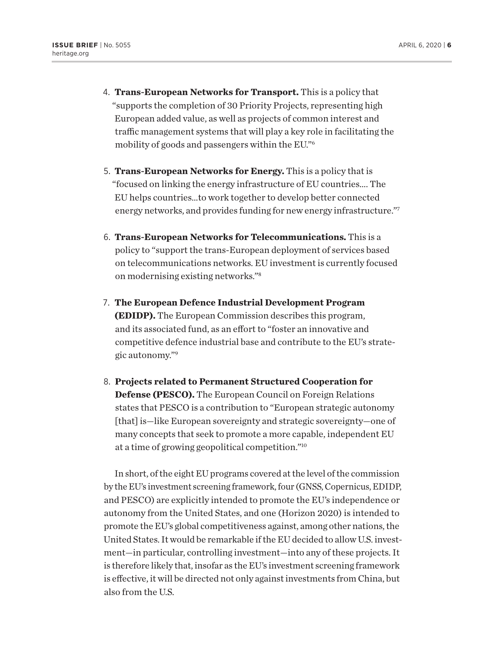- 4. **Trans-European Networks for Transport.** This is a policy that "supports the completion of 30 Priority Projects, representing high European added value, as well as projects of common interest and traffic management systems that will play a key role in facilitating the mobility of goods and passengers within the EU."6
- 5. **Trans-European Networks for Energy.** This is a policy that is "focused on linking the energy infrastructure of EU countries…. The EU helps countries…to work together to develop better connected energy networks, and provides funding for new energy infrastructure."7
- 6. **Trans-European Networks for Telecommunications.** This is a policy to "support the trans-European deployment of services based on telecommunications networks. EU investment is currently focused on modernising existing networks."8
- 7. **The European Defence Industrial Development Program (EDIDP).** The European Commission describes this program, and its associated fund, as an effort to "foster an innovative and competitive defence industrial base and contribute to the EU's strategic autonomy."9
- 8. **Projects related to Permanent Structured Cooperation for Defense (PESCO).** The European Council on Foreign Relations states that PESCO is a contribution to "European strategic autonomy [that] is—like European sovereignty and strategic sovereignty—one of many concepts that seek to promote a more capable, independent EU at a time of growing geopolitical competition."10

In short, of the eight EU programs covered at the level of the commission by the EU's investment screening framework, four (GNSS, Copernicus, EDIDP, and PESCO) are explicitly intended to promote the EU's independence or autonomy from the United States, and one (Horizon 2020) is intended to promote the EU's global competitiveness against, among other nations, the United States. It would be remarkable if the EU decided to allow U.S. investment—in particular, controlling investment—into any of these projects. It is therefore likely that, insofar as the EU's investment screening framework is effective, it will be directed not only against investments from China, but also from the U.S.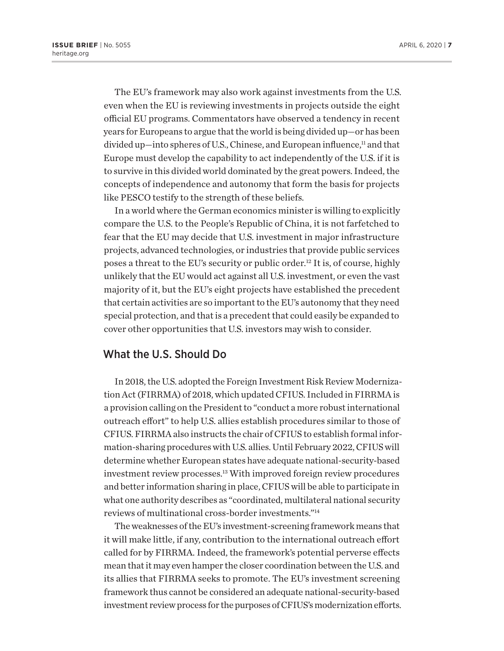The EU's framework may also work against investments from the U.S. even when the EU is reviewing investments in projects outside the eight official EU programs. Commentators have observed a tendency in recent years for Europeans to argue that the world is being divided up—or has been divided up—into spheres of U.S., Chinese, and European influence,<sup>11</sup> and that Europe must develop the capability to act independently of the U.S. if it is to survive in this divided world dominated by the great powers. Indeed, the concepts of independence and autonomy that form the basis for projects like PESCO testify to the strength of these beliefs.

In a world where the German economics minister is willing to explicitly compare the U.S. to the People's Republic of China, it is not farfetched to fear that the EU may decide that U.S. investment in major infrastructure projects, advanced technologies, or industries that provide public services poses a threat to the EU's security or public order.12 It is, of course, highly unlikely that the EU would act against all U.S. investment, or even the vast majority of it, but the EU's eight projects have established the precedent that certain activities are so important to the EU's autonomy that they need special protection, and that is a precedent that could easily be expanded to cover other opportunities that U.S. investors may wish to consider.

## What the U.S. Should Do

In 2018, the U.S. adopted the Foreign Investment Risk Review Modernization Act (FIRRMA) of 2018, which updated CFIUS. Included in FIRRMA is a provision calling on the President to "conduct a more robust international outreach effort" to help U.S. allies establish procedures similar to those of CFIUS. FIRRMA also instructs the chair of CFIUS to establish formal information-sharing procedures with U.S. allies. Until February 2022, CFIUS will determine whether European states have adequate national-security-based investment review processes.13 With improved foreign review procedures and better information sharing in place, CFIUS will be able to participate in what one authority describes as "coordinated, multilateral national security reviews of multinational cross-border investments."14

The weaknesses of the EU's investment-screening framework means that it will make little, if any, contribution to the international outreach effort called for by FIRRMA. Indeed, the framework's potential perverse effects mean that it may even hamper the closer coordination between the U.S. and its allies that FIRRMA seeks to promote. The EU's investment screening framework thus cannot be considered an adequate national-security-based investment review process for the purposes of CFIUS's modernization efforts.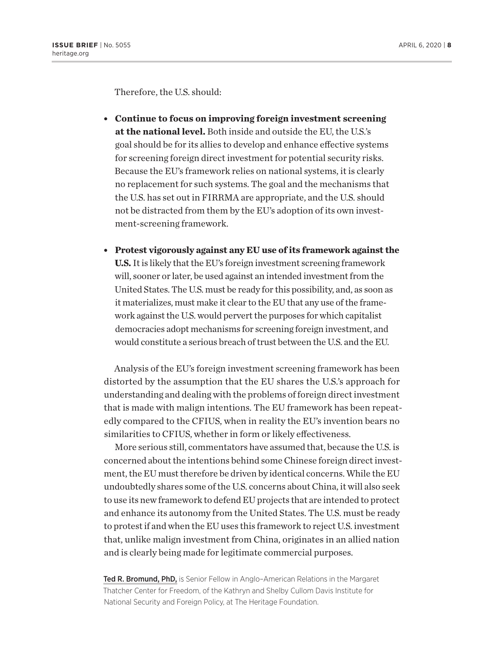Therefore, the U.S. should:

- <sup>l</sup> **Continue to focus on improving foreign investment screening at the national level.** Both inside and outside the EU, the U.S.'s goal should be for its allies to develop and enhance effective systems for screening foreign direct investment for potential security risks. Because the EU's framework relies on national systems, it is clearly no replacement for such systems. The goal and the mechanisms that the U.S. has set out in FIRRMA are appropriate, and the U.S. should not be distracted from them by the EU's adoption of its own investment-screening framework.
- <sup>l</sup> **Protest vigorously against any EU use of its framework against the U.S.** It is likely that the EU's foreign investment screening framework will, sooner or later, be used against an intended investment from the United States. The U.S. must be ready for this possibility, and, as soon as it materializes, must make it clear to the EU that any use of the framework against the U.S. would pervert the purposes for which capitalist democracies adopt mechanisms for screening foreign investment, and would constitute a serious breach of trust between the U.S. and the EU.

Analysis of the EU's foreign investment screening framework has been distorted by the assumption that the EU shares the U.S.'s approach for understanding and dealing with the problems of foreign direct investment that is made with malign intentions. The EU framework has been repeatedly compared to the CFIUS, when in reality the EU's invention bears no similarities to CFIUS, whether in form or likely effectiveness.

More serious still, commentators have assumed that, because the U.S. is concerned about the intentions behind some Chinese foreign direct investment, the EU must therefore be driven by identical concerns. While the EU undoubtedly shares some of the U.S. concerns about China, it will also seek to use its new framework to defend EU projects that are intended to protect and enhance its autonomy from the United States. The U.S. must be ready to protest if and when the EU uses this framework to reject U.S. investment that, unlike malign investment from China, originates in an allied nation and is clearly being made for legitimate commercial purposes.

Ted R. Bromund, PhD, is Senior Fellow in Anglo-American Relations in the Margaret Thatcher Center for Freedom, of the Kathryn and Shelby Cullom Davis Institute for National Security and Foreign Policy, at The Heritage Foundation.